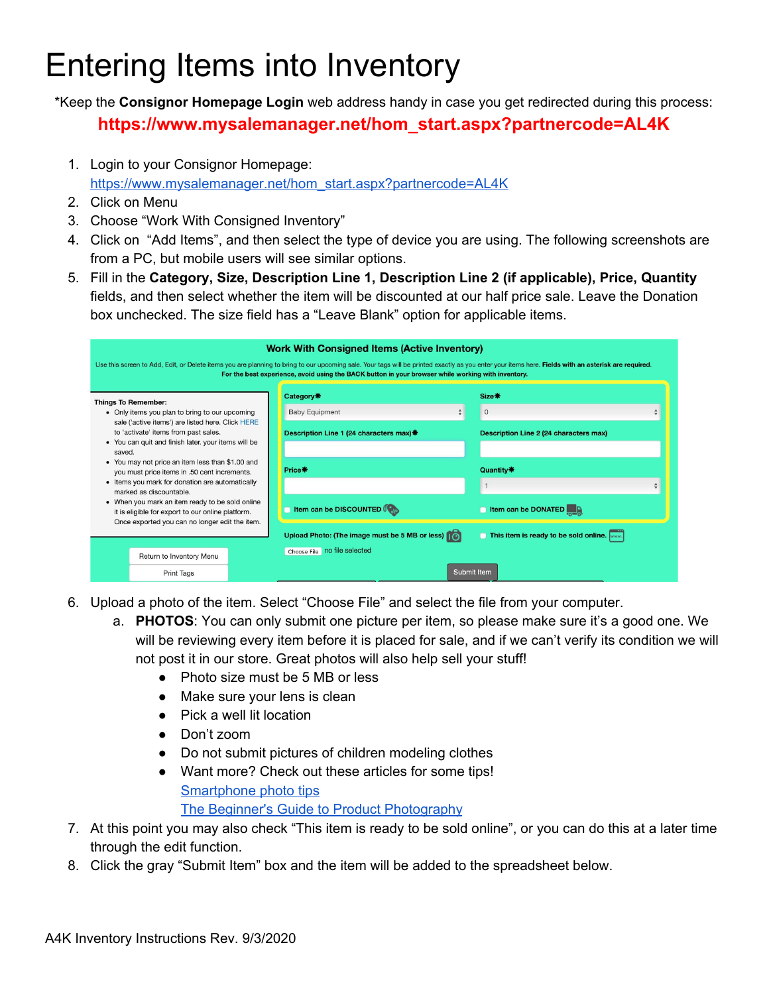## Entering Items into Inventory

\*Keep the **Consignor Homepage Login** web address handy in case you get redirected during this process: **https://www.mysalemanager.net/hom\_start.aspx?partnercode=AL4K**

1. Login to your Consignor Homepage:

[https://www.mysalemanager.net/hom\\_start.aspx?partnercode=AL4K](https://www.mysalemanager.net/hom_start.aspx?partnercode=AL4K)

- 2. Click on Menu
- 3. Choose "Work With Consigned Inventory"
- 4. Click on "Add Items", and then select the type of device you are using. The following screenshots are from a PC, but mobile users will see similar options.
- 5. Fill in the **Category, Size, Description Line 1, Description Line 2 (if applicable), Price, Quantity** fields, and then select whether the item will be discounted at our half price sale. Leave the Donation box unchecked. The size field has a "Leave Blank" option for applicable items.

| <b>Work With Consigned Items (Active Inventory)</b><br>Use this screen to Add, Edit, or Delete items you are planning to bring to our upcoming sale. Your tags will be printed exactly as you enter your items here. Fields with an asterisk are required.<br>For the best experience, avoid using the BACK button in your browser while working with inventory. |                                                                                                                                                  |  |                                                |                                        |  |  |  |  |  |  |  |
|------------------------------------------------------------------------------------------------------------------------------------------------------------------------------------------------------------------------------------------------------------------------------------------------------------------------------------------------------------------|--------------------------------------------------------------------------------------------------------------------------------------------------|--|------------------------------------------------|----------------------------------------|--|--|--|--|--|--|--|
|                                                                                                                                                                                                                                                                                                                                                                  | <b>Things To Remember:</b>                                                                                                                       |  | Category*                                      | <b>Size 米</b>                          |  |  |  |  |  |  |  |
|                                                                                                                                                                                                                                                                                                                                                                  | • Only items you plan to bring to our upcoming                                                                                                   |  | $\div$<br><b>Baby Equipment</b>                | $\frac{\Delta}{2}$<br>$\overline{0}$   |  |  |  |  |  |  |  |
|                                                                                                                                                                                                                                                                                                                                                                  | sale ('active items') are listed here. Click HERE<br>to 'activate' items from past sales.<br>• You can quit and finish later. your items will be |  | Description Line 1 (24 characters max)*        | Description Line 2 (24 characters max) |  |  |  |  |  |  |  |
| saved.                                                                                                                                                                                                                                                                                                                                                           |                                                                                                                                                  |  |                                                |                                        |  |  |  |  |  |  |  |
| • You may not price an item less than \$1.00 and<br>you must price items in .50 cent increments.<br>• Items you mark for donation are automatically<br>marked as discountable.<br>• When you mark an item ready to be sold online<br>it is eligible for export to our online platform.<br>Once exported you can no longer edit the item.                         |                                                                                                                                                  |  | Price*                                         | Quantity*                              |  |  |  |  |  |  |  |
|                                                                                                                                                                                                                                                                                                                                                                  |                                                                                                                                                  |  |                                                | $\frac{4}{7}$                          |  |  |  |  |  |  |  |
|                                                                                                                                                                                                                                                                                                                                                                  |                                                                                                                                                  |  | Item can be DISCOUNTED                         | Item can be DONATED                    |  |  |  |  |  |  |  |
|                                                                                                                                                                                                                                                                                                                                                                  |                                                                                                                                                  |  | Upload Photo: (The image must be 5 MB or less) | This item is ready to be sold online.  |  |  |  |  |  |  |  |
|                                                                                                                                                                                                                                                                                                                                                                  |                                                                                                                                                  |  | Choose File   no file selected                 |                                        |  |  |  |  |  |  |  |
|                                                                                                                                                                                                                                                                                                                                                                  | Return to Inventory Menu                                                                                                                         |  |                                                |                                        |  |  |  |  |  |  |  |
|                                                                                                                                                                                                                                                                                                                                                                  | <b>Print Tags</b>                                                                                                                                |  | <b>Submit Item</b>                             |                                        |  |  |  |  |  |  |  |

- 6. Upload a photo of the item. Select "Choose File" and select the file from your computer.
	- a. **PHOTOS**: You can only submit one picture per item, so please make sure it's a good one. We will be reviewing every item before it is placed for sale, and if we can't verify its condition we will not post it in our store. Great photos will also help sell your stuff!
		- Photo size must be 5 MB or less
		- Make sure your lens is clean
		- Pick a well lit location
		- Don't zoom
		- Do not submit pictures of children modeling clothes
		- Want more? Check out these articles for some tips! [Smartphone](https://www.volusion.com/blog/how-to-create-high-quality-product-photos-with-your-smartphone/) photo tips The Beginner's Guide to Product [Photography](https://blog.hubspot.com/marketing/product-photography-tips)
- 7. At this point you may also check "This item is ready to be sold online", or you can do this at a later time through the edit function.
- 8. Click the gray "Submit Item" box and the item will be added to the spreadsheet below.